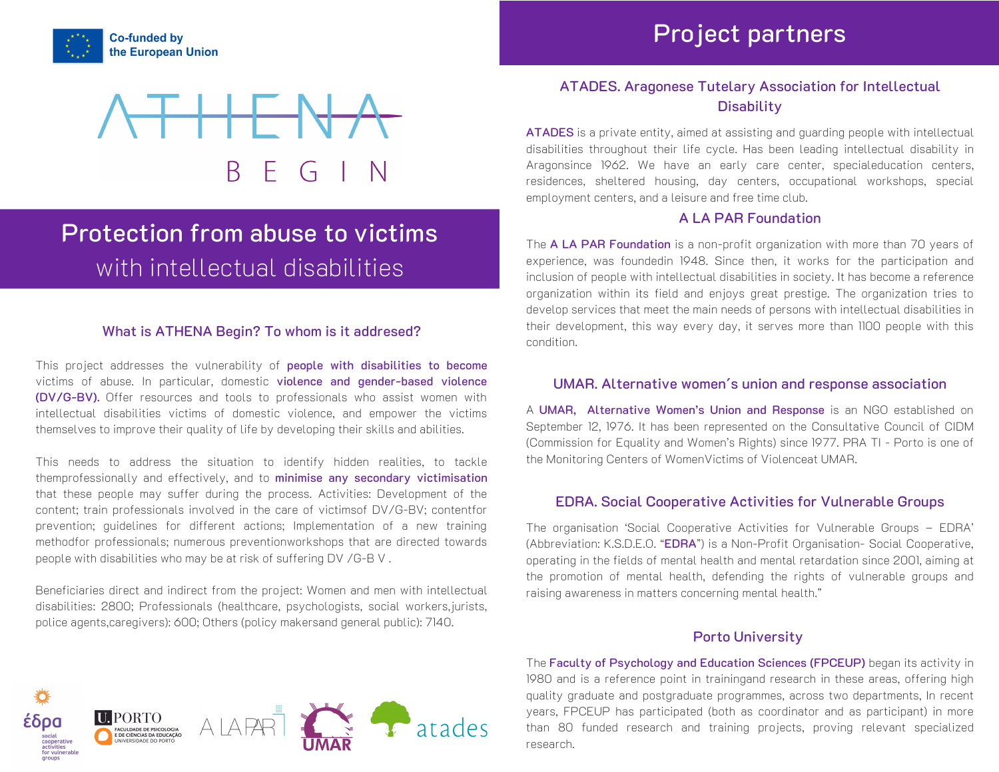





# Protection from abuse to victims with intellectual disabilities

#### What is ATHENA Begin? To whom is it addresed?

This project addresses the vulnerability of people with disabilities to become victims of abuse. In particular, domestic violence and gender-based violence (DV/G-BV). Offer resources and tools to professionals who assist women with intellectual disabilities victims of domestic violence, and empower the victims themselves to improve their quality of life by developing their skills and abilities.

This needs to address the situation to identify hidden realities, to tackle themprofessionally and effectively, and to minimise any secondary victimisation that these people may suffer during the process. Activities: Development of the content; train professionals involved in the care of victimsof DV/G-BV; contentfor prevention; guidelines for different actions; Implementation of a new training methodfor professionals; numerous preventionworkshops that are directed towards people with disabilities who may be at risk of suffering DV /G-B V .

Beneficiaries direct and indirect from the project: Women and men with intellectual disabilities: 2800; Professionals (healthcare, psychologists, social workers,jurists, police agents,caregivers): 600; Others (policy makersand general public): 7140.



ATADES is a private entity, aimed at assisting and guarding people with intellectual disabilities throughout their life cycle. Has been leading intellectual disability in Aragonsince 1962. We have an early care center, specialeducation centers, residences, sheltered housing, day centers, occupational workshops, special employment centers, and a leisure and free time club.

#### A LA PAR Foundation

The A LA PAR Foundation is a non-profit organization with more than 70 years of experience, was foundedin 1948. Since then, it works for the participation and inclusion of people with intellectual disabilities in society. It has become a reference organization within its field and enjoys great prestige. The organization tries to develop services that meet the main needs of persons with intellectual disabilities in their development, this way every day, it serves more than 1100 people with this condition.

#### UMAR. Alternative women´s union and response association

A UMAR, Alternative Women's Union and Response is an NGO established on September 12, 1976. It has been represented on the Consultative Council of CIDM (Commission for Equality and Women's Rights) since 1977. PRA TI - Porto is one of the Monitoring Centers of WomenVictims of Violenceat UMAR.

#### EDRA. Social Cooperative Activities for Vulnerable Groups

The organisation 'Social Cooperative Activities for Vulnerable Groups – EDRA' (Abbreviation: K.S.D.E.O. "EDRA") is a Non-Profit Organisation- Social Cooperative, operating in the fields of mental health and mental retardation since 2001, aiming at the promotion of mental health, defending the rights of vulnerable groups and raising awareness in matters concerning mental health."

#### Porto University

The Faculty of Psychology and Education Sciences (FPCEUP) began its activity in 1980 and is a reference point in trainingand research in these areas, offering high quality graduate and postgraduate programmes, across two departments, In recent years, FPCEUP has participated (both as coordinator and as participant) in more than 80 funded research and training projects, proving relevant specialized research.